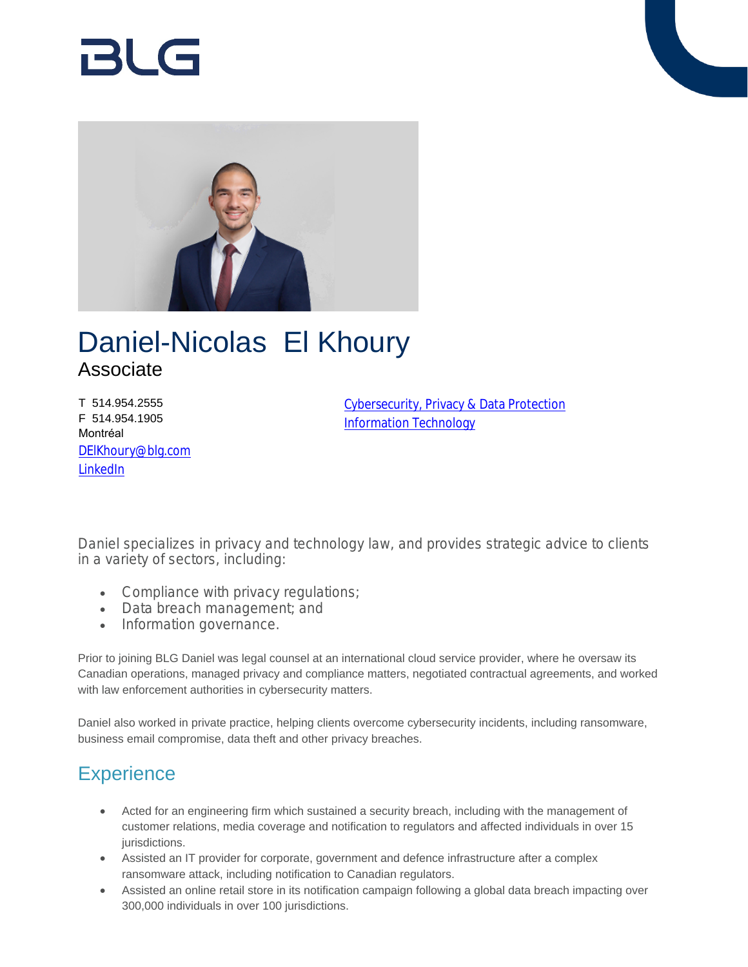# 121 G



## Daniel-Nicolas El Khoury Associate

T 514.954.2555 F 514.954.1905 Montréal [DElKhoury@blg.com](mailto:DElKhoury@blg.com) [LinkedIn](https://www.linkedin.com/in/danielelkhoury)

[Cybersecurity, Privacy & Data Protection](https://www.blg.com/en/services/practice-areas/cybersecurity-privacy-data-protection) [Information Technology](https://www.blg.com/en/services/practice-areas/information-technology)

Daniel specializes in privacy and technology law, and provides strategic advice to clients in a variety of sectors, including:

- Compliance with privacy regulations;
- Data breach management; and
- Information governance.

Prior to joining BLG Daniel was legal counsel at an international cloud service provider, where he oversaw its Canadian operations, managed privacy and compliance matters, negotiated contractual agreements, and worked with law enforcement authorities in cybersecurity matters.

Daniel also worked in private practice, helping clients overcome cybersecurity incidents, including ransomware, business email compromise, data theft and other privacy breaches.

### **Experience**

- Acted for an engineering firm which sustained a security breach, including with the management of customer relations, media coverage and notification to regulators and affected individuals in over 15 jurisdictions.
- Assisted an IT provider for corporate, government and defence infrastructure after a complex ransomware attack, including notification to Canadian regulators.
- Assisted an online retail store in its notification campaign following a global data breach impacting over 300,000 individuals in over 100 jurisdictions.